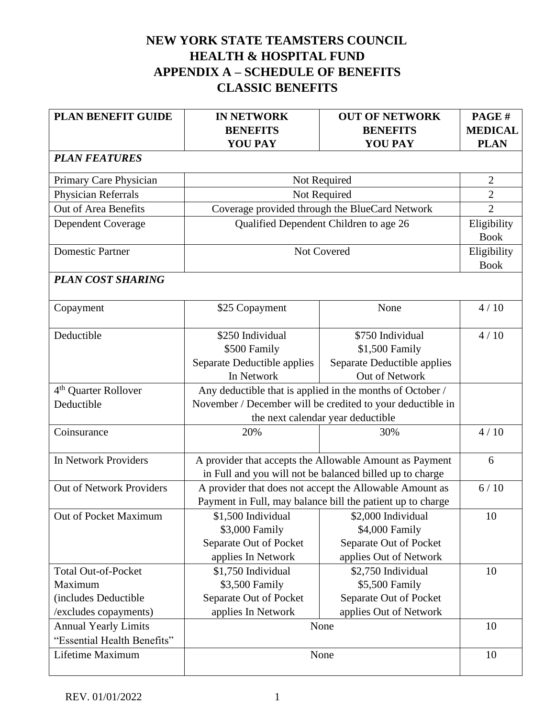# **NEW YORK STATE TEAMSTERS COUNCIL HEALTH & HOSPITAL FUND APPENDIX A – SCHEDULE OF BENEFITS CLASSIC BENEFITS**

| <b>PLAN BENEFIT GUIDE</b>        | <b>IN NETWORK</b><br><b>BENEFITS</b>                       | <b>OUT OF NETWORK</b><br><b>BENEFITS</b>                   | PAGE#<br><b>MEDICAL</b>    |
|----------------------------------|------------------------------------------------------------|------------------------------------------------------------|----------------------------|
|                                  | <b>YOU PAY</b>                                             | <b>YOU PAY</b>                                             | <b>PLAN</b>                |
| <b>PLAN FEATURES</b>             |                                                            |                                                            |                            |
| Primary Care Physician           |                                                            | Not Required                                               | $\overline{2}$             |
| Physician Referrals              |                                                            | Not Required                                               | $\overline{2}$             |
| Out of Area Benefits             |                                                            | Coverage provided through the BlueCard Network             | $\overline{2}$             |
| <b>Dependent Coverage</b>        |                                                            | Qualified Dependent Children to age 26                     | Eligibility<br><b>Book</b> |
| <b>Domestic Partner</b>          |                                                            | Not Covered                                                | Eligibility<br><b>Book</b> |
| <b>PLAN COST SHARING</b>         |                                                            |                                                            |                            |
|                                  |                                                            |                                                            |                            |
| Copayment                        | \$25 Copayment                                             | None                                                       | 4/10                       |
| Deductible                       | \$250 Individual                                           | \$750 Individual                                           | 4/10                       |
|                                  | \$500 Family                                               | \$1,500 Family                                             |                            |
|                                  | Separate Deductible applies                                | Separate Deductible applies                                |                            |
|                                  | In Network                                                 | Out of Network                                             |                            |
| 4 <sup>th</sup> Quarter Rollover | Any deductible that is applied in the months of October /  |                                                            |                            |
| Deductible                       | November / December will be credited to your deductible in |                                                            |                            |
|                                  | the next calendar year deductible                          |                                                            |                            |
| Coinsurance                      | 20%                                                        | 30%                                                        | 4/10                       |
| In Network Providers             |                                                            | A provider that accepts the Allowable Amount as Payment    | 6                          |
|                                  |                                                            | in Full and you will not be balanced billed up to charge   |                            |
| <b>Out of Network Providers</b>  |                                                            | A provider that does not accept the Allowable Amount as    | 6/10                       |
|                                  |                                                            | Payment in Full, may balance bill the patient up to charge |                            |
| Out of Pocket Maximum            | \$1,500 Individual                                         | \$2,000 Individual                                         | 10                         |
|                                  | \$3,000 Family                                             | \$4,000 Family                                             |                            |
|                                  | Separate Out of Pocket                                     | Separate Out of Pocket                                     |                            |
|                                  | applies In Network                                         | applies Out of Network                                     |                            |
| <b>Total Out-of-Pocket</b>       | \$1,750 Individual                                         | \$2,750 Individual                                         | 10                         |
| Maximum                          | \$3,500 Family                                             | \$5,500 Family                                             |                            |
| (includes Deductible             | Separate Out of Pocket                                     | Separate Out of Pocket                                     |                            |
| /excludes copayments)            | applies In Network                                         | applies Out of Network                                     |                            |
| <b>Annual Yearly Limits</b>      |                                                            | None                                                       | 10                         |
| "Essential Health Benefits"      |                                                            |                                                            |                            |
| Lifetime Maximum                 |                                                            | None                                                       | 10                         |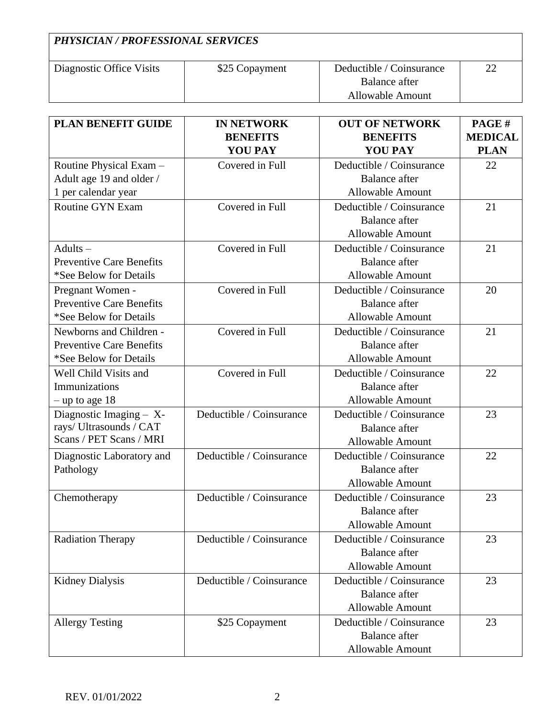| <b>PHYSICIAN / PROFESSIONAL SERVICES</b> |                |                                           |    |
|------------------------------------------|----------------|-------------------------------------------|----|
| Diagnostic Office Visits                 | \$25 Copayment | Deductible / Coinsurance<br>Balance after | 22 |
|                                          |                | Allowable Amount                          |    |

| <b>PLAN BENEFIT GUIDE</b>       | <b>IN NETWORK</b>        | <b>OUT OF NETWORK</b>    | PAGE#          |
|---------------------------------|--------------------------|--------------------------|----------------|
|                                 | <b>BENEFITS</b>          | <b>BENEFITS</b>          | <b>MEDICAL</b> |
|                                 | <b>YOU PAY</b>           | <b>YOU PAY</b>           | <b>PLAN</b>    |
| Routine Physical Exam -         | Covered in Full          | Deductible / Coinsurance | 22             |
| Adult age 19 and older /        |                          | <b>Balance</b> after     |                |
| 1 per calendar year             |                          | <b>Allowable Amount</b>  |                |
| <b>Routine GYN Exam</b>         | Covered in Full          | Deductible / Coinsurance | 21             |
|                                 |                          | <b>Balance</b> after     |                |
|                                 |                          | <b>Allowable Amount</b>  |                |
| $Adults -$                      | Covered in Full          | Deductible / Coinsurance | 21             |
| <b>Preventive Care Benefits</b> |                          | <b>Balance</b> after     |                |
| *See Below for Details          |                          | <b>Allowable Amount</b>  |                |
| Pregnant Women -                | Covered in Full          | Deductible / Coinsurance | 20             |
| <b>Preventive Care Benefits</b> |                          | <b>Balance</b> after     |                |
| *See Below for Details          |                          | <b>Allowable Amount</b>  |                |
| Newborns and Children -         | Covered in Full          | Deductible / Coinsurance | 21             |
| <b>Preventive Care Benefits</b> |                          | <b>Balance</b> after     |                |
| *See Below for Details          |                          | <b>Allowable Amount</b>  |                |
| Well Child Visits and           | Covered in Full          | Deductible / Coinsurance | 22             |
| Immunizations                   |                          | <b>Balance</b> after     |                |
| $-$ up to age 18                |                          | <b>Allowable Amount</b>  |                |
| Diagnostic Imaging - X-         | Deductible / Coinsurance | Deductible / Coinsurance | 23             |
| rays/ Ultrasounds / CAT         |                          | <b>Balance</b> after     |                |
| Scans / PET Scans / MRI         |                          | <b>Allowable Amount</b>  |                |
| Diagnostic Laboratory and       | Deductible / Coinsurance | Deductible / Coinsurance | 22             |
| Pathology                       |                          | <b>Balance</b> after     |                |
|                                 |                          | <b>Allowable Amount</b>  |                |
| Chemotherapy                    | Deductible / Coinsurance | Deductible / Coinsurance | 23             |
|                                 |                          | <b>Balance</b> after     |                |
|                                 |                          | <b>Allowable Amount</b>  |                |
| <b>Radiation Therapy</b>        | Deductible / Coinsurance | Deductible / Coinsurance | 23             |
|                                 |                          | <b>Balance</b> after     |                |
|                                 |                          | <b>Allowable Amount</b>  |                |
| <b>Kidney Dialysis</b>          | Deductible / Coinsurance | Deductible / Coinsurance | 23             |
|                                 |                          | <b>Balance</b> after     |                |
|                                 |                          | <b>Allowable Amount</b>  |                |
| <b>Allergy Testing</b>          | \$25 Copayment           | Deductible / Coinsurance | 23             |
|                                 |                          | <b>Balance</b> after     |                |
|                                 |                          | Allowable Amount         |                |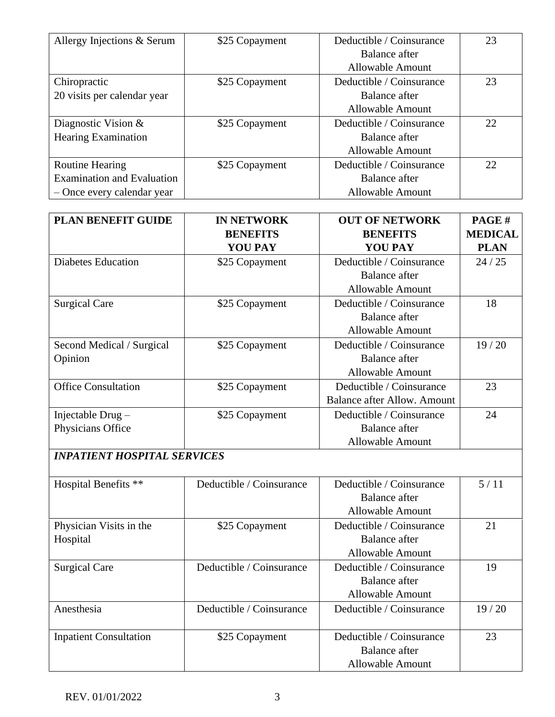| Allergy Injections & Serum        | \$25 Copayment | Deductible / Coinsurance | 23 |
|-----------------------------------|----------------|--------------------------|----|
|                                   |                | Balance after            |    |
|                                   |                | Allowable Amount         |    |
| Chiropractic                      | \$25 Copayment | Deductible / Coinsurance | 23 |
| 20 visits per calendar year       |                | Balance after            |    |
|                                   |                | <b>Allowable Amount</b>  |    |
| Diagnostic Vision $&$             | \$25 Copayment | Deductible / Coinsurance | 22 |
| <b>Hearing Examination</b>        |                | Balance after            |    |
|                                   |                | <b>Allowable Amount</b>  |    |
| <b>Routine Hearing</b>            | \$25 Copayment | Deductible / Coinsurance | 22 |
| <b>Examination and Evaluation</b> |                | Balance after            |    |
| - Once every calendar year        |                | <b>Allowable Amount</b>  |    |

| PLAN BENEFIT GUIDE                    | <b>IN NETWORK</b><br><b>BENEFITS</b><br><b>YOU PAY</b> | <b>OUT OF NETWORK</b><br><b>BENEFITS</b><br><b>YOU PAY</b>                  | PAGE#<br><b>MEDICAL</b><br><b>PLAN</b> |
|---------------------------------------|--------------------------------------------------------|-----------------------------------------------------------------------------|----------------------------------------|
| <b>Diabetes Education</b>             | \$25 Copayment                                         | Deductible / Coinsurance<br><b>Balance</b> after<br><b>Allowable Amount</b> | 24/25                                  |
| <b>Surgical Care</b>                  | \$25 Copayment                                         | Deductible / Coinsurance<br><b>Balance</b> after<br><b>Allowable Amount</b> | 18                                     |
| Second Medical / Surgical<br>Opinion  | \$25 Copayment                                         | Deductible / Coinsurance<br><b>Balance</b> after<br><b>Allowable Amount</b> | 19/20                                  |
| <b>Office Consultation</b>            | \$25 Copayment                                         | Deductible / Coinsurance<br><b>Balance after Allow. Amount</b>              | 23                                     |
| Injectable Drug-<br>Physicians Office | \$25 Copayment                                         | Deductible / Coinsurance<br><b>Balance</b> after<br><b>Allowable Amount</b> | 24                                     |
| <b>INPATIENT HOSPITAL SERVICES</b>    |                                                        |                                                                             |                                        |
| Hospital Benefits **                  | Deductible / Coinsurance                               | Deductible / Coinsurance<br><b>Balance</b> after<br><b>Allowable Amount</b> | 5/11                                   |
| Physician Visits in the<br>Hospital   | \$25 Copayment                                         | Deductible / Coinsurance<br><b>Balance</b> after<br><b>Allowable Amount</b> | 21                                     |
| <b>Surgical Care</b>                  | Deductible / Coinsurance                               | Deductible / Coinsurance<br><b>Balance</b> after<br><b>Allowable Amount</b> | 19                                     |
| Anesthesia                            | Deductible / Coinsurance                               | Deductible / Coinsurance                                                    | 19/20                                  |
| <b>Inpatient Consultation</b>         | \$25 Copayment                                         | Deductible / Coinsurance                                                    | 23                                     |

Balance after Allowable Amount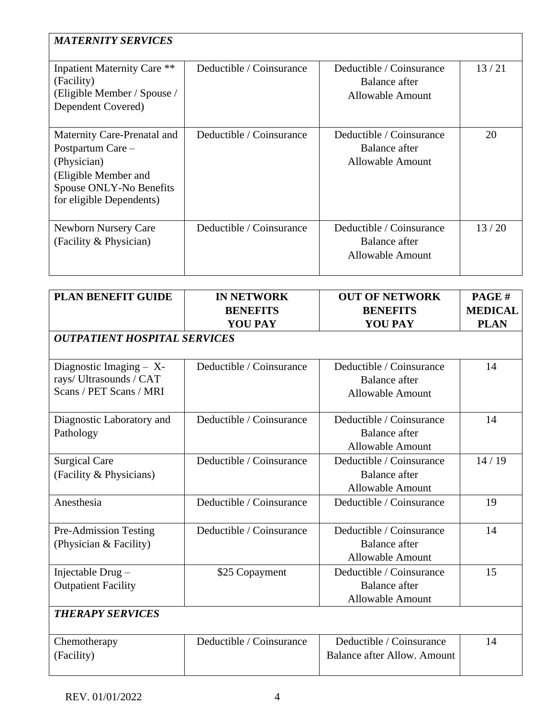| <b>MATERNITY SERVICES</b>                                                                                                                      |                          |                                                                      |       |
|------------------------------------------------------------------------------------------------------------------------------------------------|--------------------------|----------------------------------------------------------------------|-------|
| <b>Inpatient Maternity Care **</b><br>(Facility)<br>(Eligible Member / Spouse /<br>Dependent Covered)                                          | Deductible / Coinsurance | Deductible / Coinsurance<br>Balance after<br><b>Allowable Amount</b> | 13/21 |
| Maternity Care-Prenatal and<br>Postpartum Care -<br>(Physician)<br>(Eligible Member and<br>Spouse ONLY-No Benefits<br>for eligible Dependents) | Deductible / Coinsurance | Deductible / Coinsurance<br>Balance after<br><b>Allowable Amount</b> | 20    |
| Newborn Nursery Care<br>(Facility & Physician)                                                                                                 | Deductible / Coinsurance | Deductible / Coinsurance<br>Balance after<br><b>Allowable Amount</b> | 13/20 |

| <b>PLAN BENEFIT GUIDE</b>                                                       | <b>IN NETWORK</b><br><b>BENEFITS</b><br><b>YOU PAY</b> | <b>OUT OF NETWORK</b><br><b>BENEFITS</b><br><b>YOU PAY</b>                  | PAGE#<br><b>MEDICAL</b><br><b>PLAN</b> |
|---------------------------------------------------------------------------------|--------------------------------------------------------|-----------------------------------------------------------------------------|----------------------------------------|
| <b>OUTPATIENT HOSPITAL SERVICES</b>                                             |                                                        |                                                                             |                                        |
| Diagnostic Imaging $- X$ -<br>rays/Ultrasounds / CAT<br>Scans / PET Scans / MRI | Deductible / Coinsurance                               | Deductible / Coinsurance<br><b>Balance</b> after<br><b>Allowable Amount</b> | 14                                     |
| Diagnostic Laboratory and<br>Pathology                                          | Deductible / Coinsurance                               | Deductible / Coinsurance<br><b>Balance</b> after<br><b>Allowable Amount</b> | 14                                     |
| <b>Surgical Care</b><br>(Facility & Physicians)                                 | Deductible / Coinsurance                               | Deductible / Coinsurance<br><b>Balance</b> after<br><b>Allowable Amount</b> | 14/19                                  |
| Anesthesia                                                                      | Deductible / Coinsurance                               | Deductible / Coinsurance                                                    | 19                                     |
| <b>Pre-Admission Testing</b><br>(Physician & Facility)                          | Deductible / Coinsurance                               | Deductible / Coinsurance<br><b>Balance</b> after<br><b>Allowable Amount</b> | 14                                     |
| Injectable Drug-<br><b>Outpatient Facility</b>                                  | \$25 Copayment                                         | Deductible / Coinsurance<br><b>Balance</b> after<br><b>Allowable Amount</b> | 15                                     |
| <b>THERAPY SERVICES</b>                                                         |                                                        |                                                                             |                                        |
| Chemotherapy<br>(Facility)                                                      | Deductible / Coinsurance                               | Deductible / Coinsurance<br><b>Balance after Allow. Amount</b>              | 14                                     |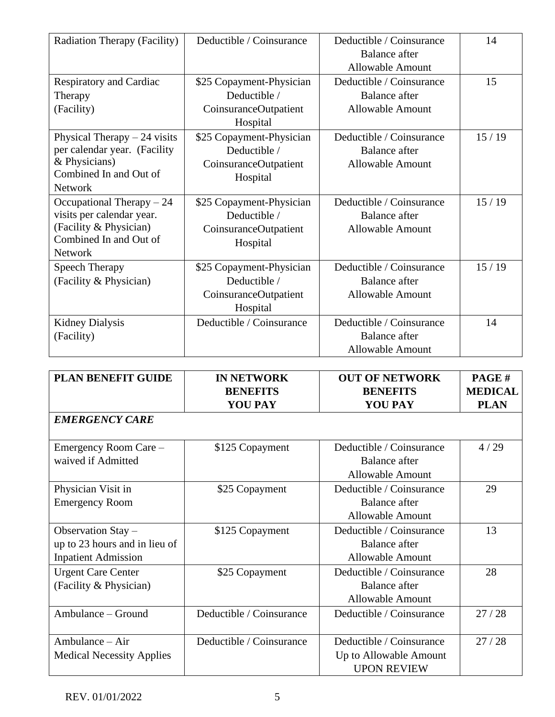| Radiation Therapy (Facility)                                                                                                  | Deductible / Coinsurance                                                      | Deductible / Coinsurance<br><b>Balance</b> after<br><b>Allowable Amount</b> | 14    |
|-------------------------------------------------------------------------------------------------------------------------------|-------------------------------------------------------------------------------|-----------------------------------------------------------------------------|-------|
| Respiratory and Cardiac<br>Therapy<br>(Facility)                                                                              | \$25 Copayment-Physician<br>Deductible /<br>CoinsuranceOutpatient<br>Hospital | Deductible / Coinsurance<br><b>Balance</b> after<br><b>Allowable Amount</b> | 15    |
| Physical Therapy $-24$ visits<br>per calendar year. (Facility<br>& Physicians)<br>Combined In and Out of<br><b>Network</b>    | \$25 Copayment-Physician<br>Deductible /<br>CoinsuranceOutpatient<br>Hospital | Deductible / Coinsurance<br><b>Balance</b> after<br><b>Allowable Amount</b> | 15/19 |
| Occupational Therapy $-24$<br>visits per calendar year.<br>(Facility & Physician)<br>Combined In and Out of<br><b>Network</b> | \$25 Copayment-Physician<br>Deductible /<br>CoinsuranceOutpatient<br>Hospital | Deductible / Coinsurance<br><b>Balance</b> after<br><b>Allowable Amount</b> | 15/19 |
| <b>Speech Therapy</b><br>(Facility & Physician)                                                                               | \$25 Copayment-Physician<br>Deductible /<br>CoinsuranceOutpatient<br>Hospital | Deductible / Coinsurance<br><b>Balance</b> after<br><b>Allowable Amount</b> | 15/19 |
| <b>Kidney Dialysis</b><br>(Facility)                                                                                          | Deductible / Coinsurance                                                      | Deductible / Coinsurance<br><b>Balance</b> after<br><b>Allowable Amount</b> | 14    |

| <b>PLAN BENEFIT GUIDE</b>                                                         | <b>IN NETWORK</b><br><b>BENEFITS</b><br><b>YOU PAY</b> | <b>OUT OF NETWORK</b><br><b>BENEFITS</b><br><b>YOU PAY</b>                  | PAGE#<br><b>MEDICAL</b><br><b>PLAN</b> |
|-----------------------------------------------------------------------------------|--------------------------------------------------------|-----------------------------------------------------------------------------|----------------------------------------|
| <b>EMERGENCY CARE</b>                                                             |                                                        |                                                                             |                                        |
| Emergency Room Care -<br>waived if Admitted                                       | \$125 Copayment                                        | Deductible / Coinsurance<br><b>Balance after</b><br><b>Allowable Amount</b> | 4/29                                   |
| Physician Visit in<br><b>Emergency Room</b>                                       | \$25 Copayment                                         | Deductible / Coinsurance<br><b>Balance after</b><br><b>Allowable Amount</b> | 29                                     |
| Observation Stay -<br>up to 23 hours and in lieu of<br><b>Inpatient Admission</b> | \$125 Copayment                                        | Deductible / Coinsurance<br><b>Balance after</b><br>Allowable Amount        | 13                                     |
| <b>Urgent Care Center</b><br>(Facility & Physician)                               | \$25 Copayment                                         | Deductible / Coinsurance<br><b>Balance after</b><br><b>Allowable Amount</b> | 28                                     |
| Ambulance – Ground                                                                | Deductible / Coinsurance                               | Deductible / Coinsurance                                                    | 27/28                                  |
| Ambulance – Air<br><b>Medical Necessity Applies</b>                               | Deductible / Coinsurance                               | Deductible / Coinsurance<br>Up to Allowable Amount<br><b>UPON REVIEW</b>    | 27/28                                  |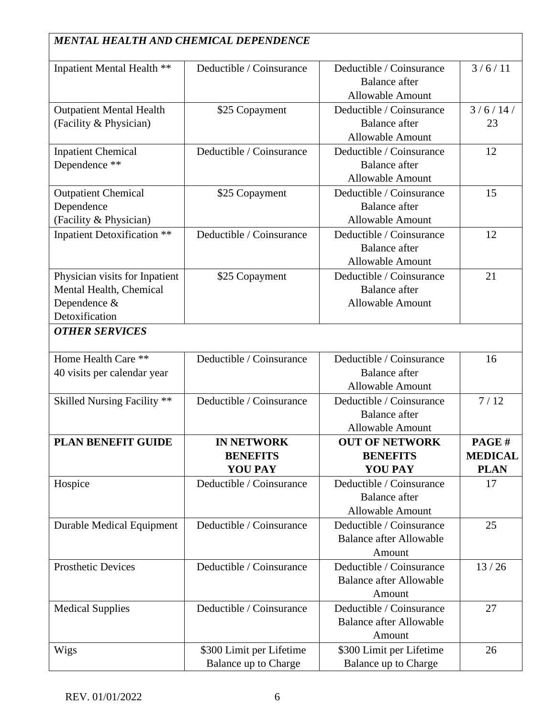| <b>MENTAL HEALTH AND CHEMICAL DEPENDENCE</b>                                                |                                                        |                                                                             |                                        |
|---------------------------------------------------------------------------------------------|--------------------------------------------------------|-----------------------------------------------------------------------------|----------------------------------------|
| Inpatient Mental Health **                                                                  | Deductible / Coinsurance                               | Deductible / Coinsurance<br><b>Balance</b> after<br><b>Allowable Amount</b> | 3/6/11                                 |
| <b>Outpatient Mental Health</b><br>(Facility & Physician)                                   | \$25 Copayment                                         | Deductible / Coinsurance<br><b>Balance</b> after<br><b>Allowable Amount</b> | 3/6/14/<br>23                          |
| <b>Inpatient Chemical</b><br>Dependence **                                                  | Deductible / Coinsurance                               | Deductible / Coinsurance<br><b>Balance</b> after<br><b>Allowable Amount</b> | 12                                     |
| <b>Outpatient Chemical</b><br>Dependence<br>(Facility & Physician)                          | \$25 Copayment                                         | Deductible / Coinsurance<br><b>Balance</b> after<br><b>Allowable Amount</b> | 15                                     |
| <b>Inpatient Detoxification **</b>                                                          | Deductible / Coinsurance                               | Deductible / Coinsurance<br><b>Balance</b> after<br><b>Allowable Amount</b> | 12                                     |
| Physician visits for Inpatient<br>Mental Health, Chemical<br>Dependence &<br>Detoxification | \$25 Copayment                                         | Deductible / Coinsurance<br><b>Balance</b> after<br><b>Allowable Amount</b> | 21                                     |
| <b>OTHER SERVICES</b>                                                                       |                                                        |                                                                             |                                        |
| Home Health Care **<br>40 visits per calendar year                                          | Deductible / Coinsurance                               | Deductible / Coinsurance<br><b>Balance</b> after<br><b>Allowable Amount</b> | 16                                     |
| Skilled Nursing Facility **                                                                 | Deductible / Coinsurance                               | Deductible / Coinsurance<br><b>Balance</b> after<br><b>Allowable Amount</b> | 7/12                                   |
| PLAN BENEFIT GUIDE                                                                          | <b>IN NETWORK</b><br><b>BENEFITS</b><br><b>YOU PAY</b> | <b>OUT OF NETWORK</b><br><b>BENEFITS</b><br><b>YOU PAY</b>                  | PAGE#<br><b>MEDICAL</b><br><b>PLAN</b> |
| Hospice                                                                                     | Deductible / Coinsurance                               | Deductible / Coinsurance<br><b>Balance</b> after<br><b>Allowable Amount</b> | 17                                     |
| <b>Durable Medical Equipment</b>                                                            | Deductible / Coinsurance                               | Deductible / Coinsurance<br><b>Balance after Allowable</b><br>Amount        | 25                                     |
| <b>Prosthetic Devices</b>                                                                   | Deductible / Coinsurance                               | Deductible / Coinsurance<br><b>Balance after Allowable</b><br>Amount        | 13/26                                  |
| <b>Medical Supplies</b>                                                                     | Deductible / Coinsurance                               | Deductible / Coinsurance<br><b>Balance after Allowable</b><br>Amount        | 27                                     |
| Wigs                                                                                        | \$300 Limit per Lifetime<br>Balance up to Charge       | \$300 Limit per Lifetime<br>Balance up to Charge                            | 26                                     |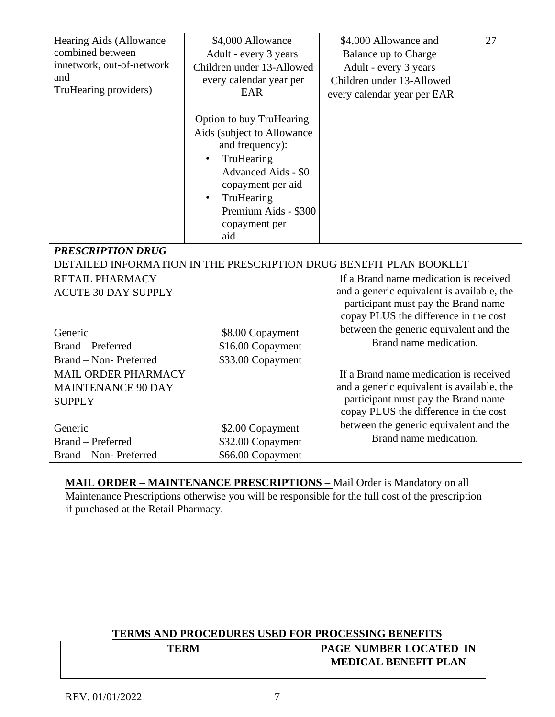| Hearing Aids (Allowance    | \$4,000 Allowance                                                                | \$4,000 Allowance and                                              | 27 |
|----------------------------|----------------------------------------------------------------------------------|--------------------------------------------------------------------|----|
| combined between           | Adult - every 3 years                                                            | Balance up to Charge                                               |    |
| innetwork, out-of-network  | Children under 13-Allowed                                                        | Adult - every 3 years                                              |    |
| and                        | every calendar year per                                                          | Children under 13-Allowed                                          |    |
| TruHearing providers)      | EAR                                                                              | every calendar year per EAR                                        |    |
|                            | <b>Option to buy TruHearing</b><br>Aids (subject to Allowance<br>and frequency): |                                                                    |    |
|                            | TruHearing                                                                       |                                                                    |    |
|                            | Advanced Aids - \$0                                                              |                                                                    |    |
|                            | copayment per aid                                                                |                                                                    |    |
|                            | TruHearing                                                                       |                                                                    |    |
|                            | Premium Aids - \$300                                                             |                                                                    |    |
|                            | copayment per                                                                    |                                                                    |    |
|                            | aid                                                                              |                                                                    |    |
| <b>PRESCRIPTION DRUG</b>   |                                                                                  |                                                                    |    |
|                            |                                                                                  | DETAILED INFORMATION IN THE PRESCRIPTION DRUG BENEFIT PLAN BOOKLET |    |
| <b>RETAIL PHARMACY</b>     |                                                                                  | If a Brand name medication is received                             |    |
| <b>ACUTE 30 DAY SUPPLY</b> |                                                                                  | and a generic equivalent is available, the                         |    |
|                            |                                                                                  | participant must pay the Brand name                                |    |
|                            |                                                                                  | copay PLUS the difference in the cost                              |    |
| Generic                    | \$8.00 Copayment                                                                 | between the generic equivalent and the                             |    |
| <b>Brand</b> – Preferred   | \$16.00 Copayment                                                                | Brand name medication.                                             |    |
| Brand - Non- Preferred     | \$33.00 Copayment                                                                |                                                                    |    |
| <b>MAIL ORDER PHARMACY</b> |                                                                                  | If a Brand name medication is received                             |    |
| <b>MAINTENANCE 90 DAY</b>  |                                                                                  | and a generic equivalent is available, the                         |    |
| <b>SUPPLY</b>              |                                                                                  | participant must pay the Brand name                                |    |
|                            |                                                                                  | copay PLUS the difference in the cost                              |    |
| Generic                    | \$2.00 Copayment                                                                 | between the generic equivalent and the                             |    |
| <b>Brand</b> – Preferred   | \$32.00 Copayment                                                                | Brand name medication.                                             |    |
| Brand - Non- Preferred     | \$66.00 Copayment                                                                |                                                                    |    |

**MAIL ORDER – MAINTENANCE PRESCRIPTIONS –** Mail Order is Mandatory on all Maintenance Prescriptions otherwise you will be responsible for the full cost of the prescription if purchased at the Retail Pharmacy.

### **TERMS AND PROCEDURES USED FOR PROCESSING BENEFITS**

| TERM | <b>PAGE NUMBER LOCATED IN</b> |
|------|-------------------------------|
|      | <b>MEDICAL BENEFIT PLAN</b>   |
|      |                               |
|      |                               |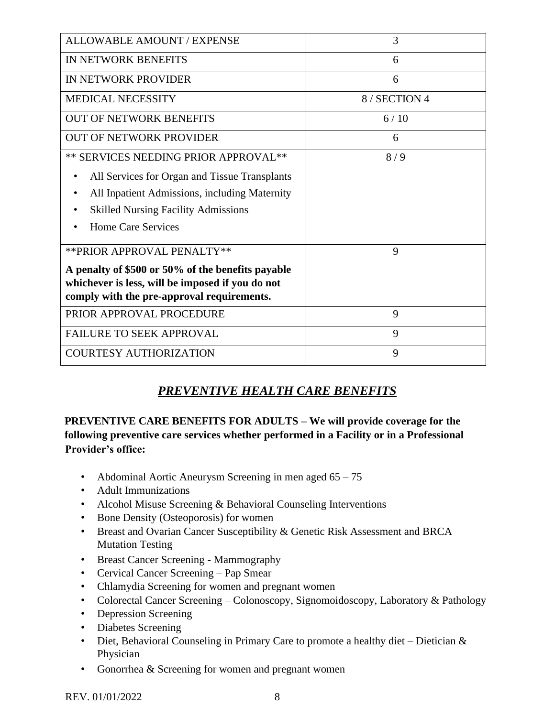| <b>ALLOWABLE AMOUNT / EXPENSE</b>                                                                                                                   | 3             |
|-----------------------------------------------------------------------------------------------------------------------------------------------------|---------------|
| <b>IN NETWORK BENEFITS</b>                                                                                                                          | 6             |
| IN NETWORK PROVIDER                                                                                                                                 | 6             |
| <b>MEDICAL NECESSITY</b>                                                                                                                            | 8 / SECTION 4 |
| <b>OUT OF NETWORK BENEFITS</b>                                                                                                                      | 6/10          |
| <b>OUT OF NETWORK PROVIDER</b>                                                                                                                      | 6             |
| ** SERVICES NEEDING PRIOR APPROVAL**                                                                                                                | 8/9           |
| All Services for Organ and Tissue Transplants                                                                                                       |               |
| All Inpatient Admissions, including Maternity                                                                                                       |               |
| <b>Skilled Nursing Facility Admissions</b>                                                                                                          |               |
| Home Care Services                                                                                                                                  |               |
| ** PRIOR APPROVAL PENALTY**                                                                                                                         | 9             |
| A penalty of \$500 or 50% of the benefits payable<br>whichever is less, will be imposed if you do not<br>comply with the pre-approval requirements. |               |
| PRIOR APPROVAL PROCEDURE                                                                                                                            | 9             |
| <b>FAILURE TO SEEK APPROVAL</b>                                                                                                                     | 9             |
| <b>COURTESY AUTHORIZATION</b>                                                                                                                       | 9             |

# *PREVENTIVE HEALTH CARE BENEFITS*

#### **PREVENTIVE CARE BENEFITS FOR ADULTS – We will provide coverage for the following preventive care services whether performed in a Facility or in a Professional Provider's office:**

- Abdominal Aortic Aneurysm Screening in men aged 65 75
- Adult Immunizations
- Alcohol Misuse Screening & Behavioral Counseling Interventions
- Bone Density (Osteoporosis) for women
- Breast and Ovarian Cancer Susceptibility & Genetic Risk Assessment and BRCA Mutation Testing
- Breast Cancer Screening Mammography
- Cervical Cancer Screening Pap Smear
- Chlamydia Screening for women and pregnant women
- Colorectal Cancer Screening Colonoscopy, Signomoidoscopy, Laboratory & Pathology
- Depression Screening
- Diabetes Screening
- Diet, Behavioral Counseling in Primary Care to promote a healthy diet Dietician & Physician
- Gonorrhea & Screening for women and pregnant women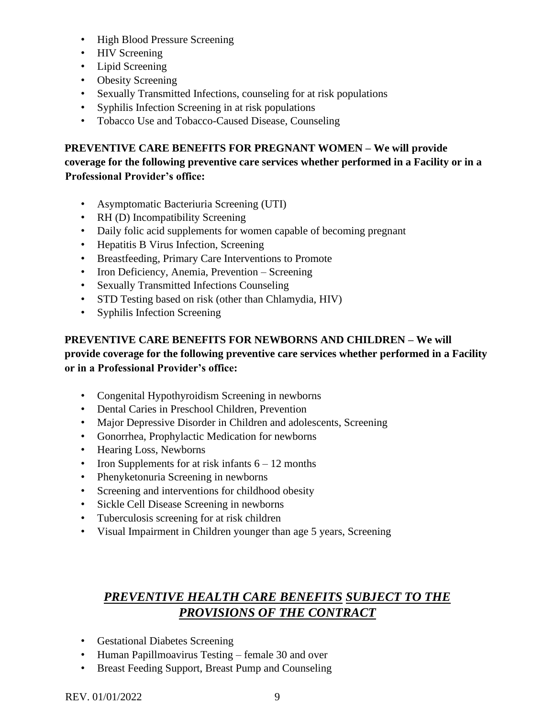- High Blood Pressure Screening
- HIV Screening
- Lipid Screening
- Obesity Screening
- Sexually Transmitted Infections, counseling for at risk populations
- Syphilis Infection Screening in at risk populations
- Tobacco Use and Tobacco-Caused Disease, Counseling

**PREVENTIVE CARE BENEFITS FOR PREGNANT WOMEN – We will provide coverage for the following preventive care services whether performed in a Facility or in a Professional Provider's office:** 

- Asymptomatic Bacteriuria Screening (UTI)
- RH (D) Incompatibility Screening
- Daily folic acid supplements for women capable of becoming pregnant
- Hepatitis B Virus Infection, Screening
- Breastfeeding, Primary Care Interventions to Promote
- Iron Deficiency, Anemia, Prevention Screening
- Sexually Transmitted Infections Counseling
- STD Testing based on risk (other than Chlamydia, HIV)
- Syphilis Infection Screening

#### **PREVENTIVE CARE BENEFITS FOR NEWBORNS AND CHILDREN – We will provide coverage for the following preventive care services whether performed in a Facility or in a Professional Provider's office:**

- Congenital Hypothyroidism Screening in newborns
- Dental Caries in Preschool Children, Prevention
- Major Depressive Disorder in Children and adolescents, Screening
- Gonorrhea, Prophylactic Medication for newborns
- Hearing Loss, Newborns
- Iron Supplements for at risk infants  $6 12$  months
- Phenyketonuria Screening in newborns
- Screening and interventions for childhood obesity
- Sickle Cell Disease Screening in newborns
- Tuberculosis screening for at risk children
- Visual Impairment in Children younger than age 5 years, Screening

### *PREVENTIVE HEALTH CARE BENEFITS SUBJECT TO THE PROVISIONS OF THE CONTRACT*

- Gestational Diabetes Screening
- Human Papillmoavirus Testing female 30 and over
- Breast Feeding Support, Breast Pump and Counseling